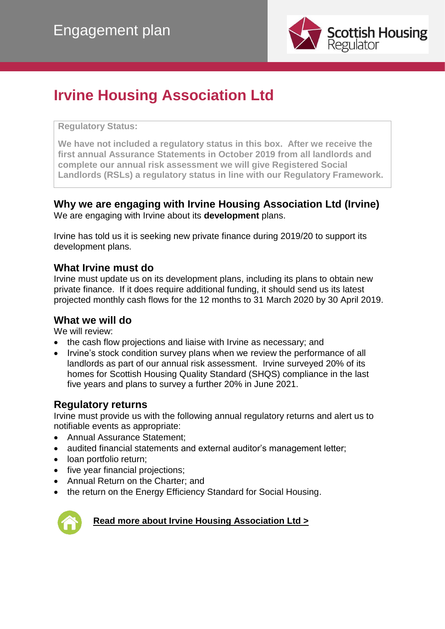

## **Irvine Housing Association Ltd**

#### **Regulatory Status:**

**We have not included a regulatory status in this box. After we receive the first annual Assurance Statements in October 2019 from all landlords and complete our annual risk assessment we will give Registered Social Landlords (RSLs) a regulatory status in line with our Regulatory Framework.**

#### **Why we are engaging with Irvine Housing Association Ltd (Irvine)** We are engaging with Irvine about its **development** plans.

Irvine has told us it is seeking new private finance during 2019/20 to support its development plans.

#### **What Irvine must do**

Irvine must update us on its development plans, including its plans to obtain new private finance. If it does require additional funding, it should send us its latest projected monthly cash flows for the 12 months to 31 March 2020 by 30 April 2019.

#### **What we will do**

We will review:

- the cash flow projections and liaise with Irvine as necessary; and
- Irvine's stock condition survey plans when we review the performance of all landlords as part of our annual risk assessment. Irvine surveyed 20% of its homes for Scottish Housing Quality Standard (SHQS) compliance in the last five years and plans to survey a further 20% in June 2021.

#### **Regulatory returns**

Irvine must provide us with the following annual regulatory returns and alert us to notifiable events as appropriate:

- Annual Assurance Statement;
- audited financial statements and external auditor's management letter;
- loan portfolio return;
- five year financial projections;
- Annual Return on the Charter; and
- the return on the Energy Efficiency Standard for Social Housing.



#### **[Read more about Irvine Housing Association Ltd >](http://directory.scottishhousingregulator.gov.uk/Pages/landlord.aspx?LAtoZNameQS=EAD48264-CFA9-E311-93F1-005056B555E6)**